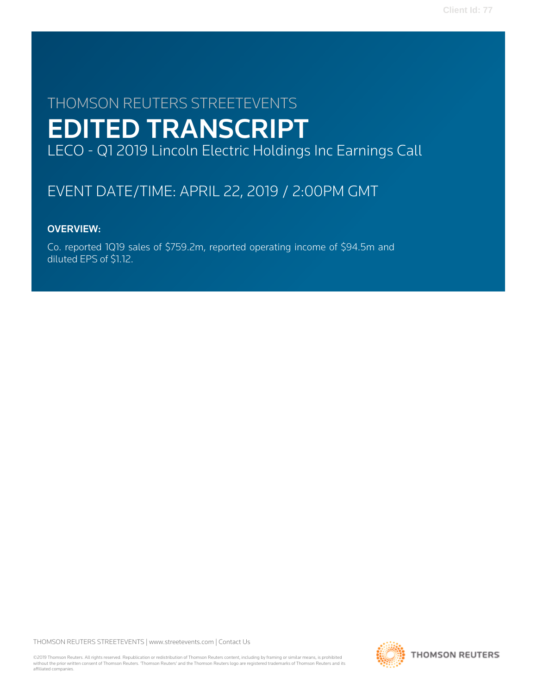# THOMSON REUTERS STREETEVENTS EDITED TRANSCRIPT LECO - Q1 2019 Lincoln Electric Holdings Inc Earnings Call

# EVENT DATE/TIME: APRIL 22, 2019 / 2:00PM GMT

# OVERVIEW:

Co. reported 1Q19 sales of \$759.2m, reported operating income of \$94.5m and diluted EPS of \$1.12.

THOMSON REUTERS STREETEVENTS | [www.streetevents.com](http://www.streetevents.com) | [Contact Us](http://www010.streetevents.com/contact.asp)

©2019 Thomson Reuters. All rights reserved. Republication or redistribution of Thomson Reuters content, including by framing or similar means, is prohibited without the prior written consent of Thomson Reuters. 'Thomson Reuters' and the Thomson Reuters logo are registered trademarks of Thomson Reuters and its affiliated companies.

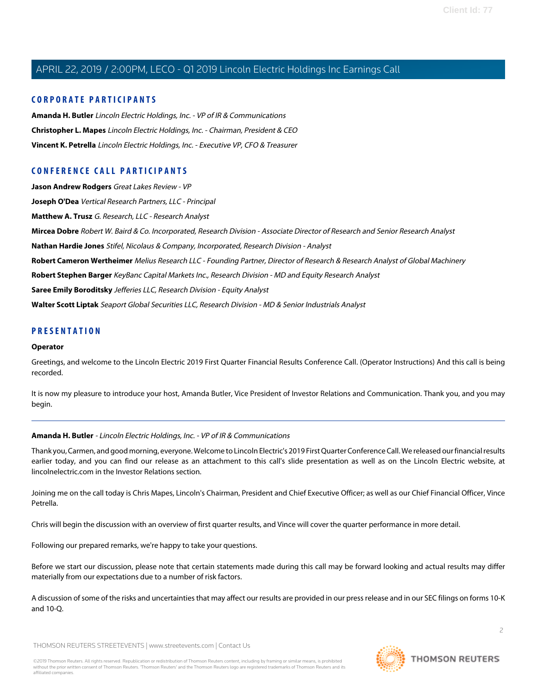### **CORPORATE PARTICIPANTS**

**[Amanda H. Butler](#page-1-0)** Lincoln Electric Holdings, Inc. - VP of IR & Communications **[Christopher L. Mapes](#page-2-0)** Lincoln Electric Holdings, Inc. - Chairman, President & CEO **[Vincent K. Petrella](#page-3-0)** Lincoln Electric Holdings, Inc. - Executive VP, CFO & Treasurer

### **CONFERENCE CALL PARTICIPANTS**

**[Jason Andrew Rodgers](#page-14-0)** Great Lakes Review - VP **[Joseph O'Dea](#page-7-0)** Vertical Research Partners, LLC - Principal **[Matthew A. Trusz](#page-10-0)** G. Research, LLC - Research Analyst **[Mircea Dobre](#page-9-0)** Robert W. Baird & Co. Incorporated, Research Division - Associate Director of Research and Senior Research Analyst **[Nathan Hardie Jones](#page-8-0)** Stifel, Nicolaus & Company, Incorporated, Research Division - Analyst **[Robert Cameron Wertheimer](#page-5-0)** Melius Research LLC - Founding Partner, Director of Research & Research Analyst of Global Machinery **[Robert Stephen Barger](#page-12-0)** KeyBanc Capital Markets Inc., Research Division - MD and Equity Research Analyst **[Saree Emily Boroditsky](#page-6-0)** Jefferies LLC, Research Division - Equity Analyst **[Walter Scott Liptak](#page-11-0)** Seaport Global Securities LLC, Research Division - MD & Senior Industrials Analyst

### **PRESENTATION**

### **Operator**

Greetings, and welcome to the Lincoln Electric 2019 First Quarter Financial Results Conference Call. (Operator Instructions) And this call is being recorded.

<span id="page-1-0"></span>It is now my pleasure to introduce your host, Amanda Butler, Vice President of Investor Relations and Communication. Thank you, and you may begin.

### **Amanda H. Butler** - Lincoln Electric Holdings, Inc. - VP of IR & Communications

Thank you, Carmen, and good morning, everyone. Welcome to Lincoln Electric's 2019 First Quarter Conference Call. We released our financial results earlier today, and you can find our release as an attachment to this call's slide presentation as well as on the Lincoln Electric website, at lincolnelectric.com in the Investor Relations section.

Joining me on the call today is Chris Mapes, Lincoln's Chairman, President and Chief Executive Officer; as well as our Chief Financial Officer, Vince Petrella.

Chris will begin the discussion with an overview of first quarter results, and Vince will cover the quarter performance in more detail.

Following our prepared remarks, we're happy to take your questions.

Before we start our discussion, please note that certain statements made during this call may be forward looking and actual results may differ materially from our expectations due to a number of risk factors.

A discussion of some of the risks and uncertainties that may affect our results are provided in our press release and in our SEC filings on forms 10-K and 10-Q.

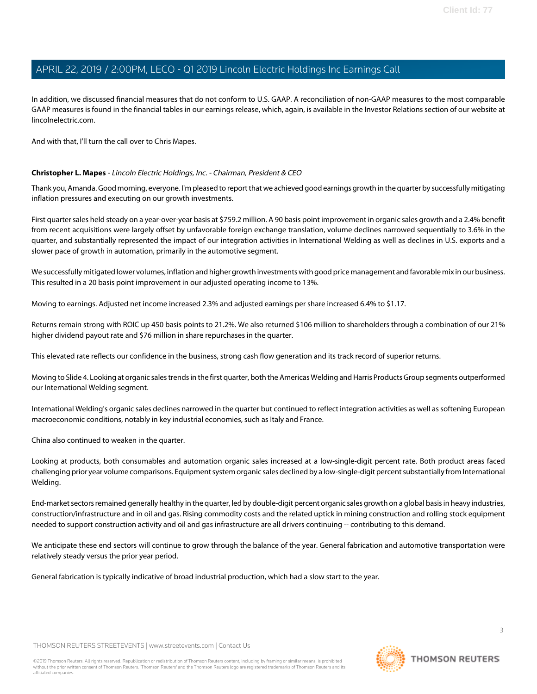In addition, we discussed financial measures that do not conform to U.S. GAAP. A reconciliation of non-GAAP measures to the most comparable GAAP measures is found in the financial tables in our earnings release, which, again, is available in the Investor Relations section of our website at lincolnelectric.com.

<span id="page-2-0"></span>And with that, I'll turn the call over to Chris Mapes.

### **Christopher L. Mapes** - Lincoln Electric Holdings, Inc. - Chairman, President & CEO

Thank you, Amanda. Good morning, everyone. I'm pleased to report that we achieved good earnings growth in the quarter by successfully mitigating inflation pressures and executing on our growth investments.

First quarter sales held steady on a year-over-year basis at \$759.2 million. A 90 basis point improvement in organic sales growth and a 2.4% benefit from recent acquisitions were largely offset by unfavorable foreign exchange translation, volume declines narrowed sequentially to 3.6% in the quarter, and substantially represented the impact of our integration activities in International Welding as well as declines in U.S. exports and a slower pace of growth in automation, primarily in the automotive segment.

We successfully mitigated lower volumes, inflation and higher growth investments with good price management and favorable mix in our business. This resulted in a 20 basis point improvement in our adjusted operating income to 13%.

Moving to earnings. Adjusted net income increased 2.3% and adjusted earnings per share increased 6.4% to \$1.17.

Returns remain strong with ROIC up 450 basis points to 21.2%. We also returned \$106 million to shareholders through a combination of our 21% higher dividend payout rate and \$76 million in share repurchases in the quarter.

This elevated rate reflects our confidence in the business, strong cash flow generation and its track record of superior returns.

Moving to Slide 4. Looking at organic sales trends in the first quarter, both the Americas Welding and Harris Products Group segments outperformed our International Welding segment.

International Welding's organic sales declines narrowed in the quarter but continued to reflect integration activities as well as softening European macroeconomic conditions, notably in key industrial economies, such as Italy and France.

China also continued to weaken in the quarter.

Looking at products, both consumables and automation organic sales increased at a low-single-digit percent rate. Both product areas faced challenging prior year volume comparisons. Equipment system organic sales declined by a low-single-digit percent substantially from International Welding.

End-market sectors remained generally healthy in the quarter, led by double-digit percent organic sales growth on a global basis in heavy industries, construction/infrastructure and in oil and gas. Rising commodity costs and the related uptick in mining construction and rolling stock equipment needed to support construction activity and oil and gas infrastructure are all drivers continuing -- contributing to this demand.

We anticipate these end sectors will continue to grow through the balance of the year. General fabrication and automotive transportation were relatively steady versus the prior year period.

General fabrication is typically indicative of broad industrial production, which had a slow start to the year.

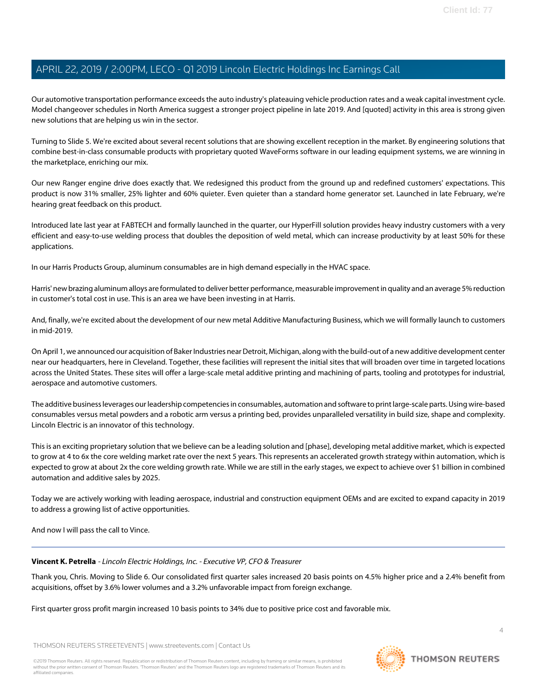Our automotive transportation performance exceeds the auto industry's plateauing vehicle production rates and a weak capital investment cycle. Model changeover schedules in North America suggest a stronger project pipeline in late 2019. And [quoted] activity in this area is strong given new solutions that are helping us win in the sector.

Turning to Slide 5. We're excited about several recent solutions that are showing excellent reception in the market. By engineering solutions that combine best-in-class consumable products with proprietary quoted WaveForms software in our leading equipment systems, we are winning in the marketplace, enriching our mix.

Our new Ranger engine drive does exactly that. We redesigned this product from the ground up and redefined customers' expectations. This product is now 31% smaller, 25% lighter and 60% quieter. Even quieter than a standard home generator set. Launched in late February, we're hearing great feedback on this product.

Introduced late last year at FABTECH and formally launched in the quarter, our HyperFill solution provides heavy industry customers with a very efficient and easy-to-use welding process that doubles the deposition of weld metal, which can increase productivity by at least 50% for these applications.

In our Harris Products Group, aluminum consumables are in high demand especially in the HVAC space.

Harris' new brazing aluminum alloys are formulated to deliver better performance, measurable improvement in quality and an average 5% reduction in customer's total cost in use. This is an area we have been investing in at Harris.

And, finally, we're excited about the development of our new metal Additive Manufacturing Business, which we will formally launch to customers in mid-2019.

On April 1, we announced our acquisition of Baker Industries near Detroit, Michigan, along with the build-out of a new additive development center near our headquarters, here in Cleveland. Together, these facilities will represent the initial sites that will broaden over time in targeted locations across the United States. These sites will offer a large-scale metal additive printing and machining of parts, tooling and prototypes for industrial, aerospace and automotive customers.

The additive business leverages our leadership competencies in consumables, automation and software to print large-scale parts. Using wire-based consumables versus metal powders and a robotic arm versus a printing bed, provides unparalleled versatility in build size, shape and complexity. Lincoln Electric is an innovator of this technology.

This is an exciting proprietary solution that we believe can be a leading solution and [phase], developing metal additive market, which is expected to grow at 4 to 6x the core welding market rate over the next 5 years. This represents an accelerated growth strategy within automation, which is expected to grow at about 2x the core welding growth rate. While we are still in the early stages, we expect to achieve over \$1 billion in combined automation and additive sales by 2025.

<span id="page-3-0"></span>Today we are actively working with leading aerospace, industrial and construction equipment OEMs and are excited to expand capacity in 2019 to address a growing list of active opportunities.

And now I will pass the call to Vince.

### **Vincent K. Petrella** - Lincoln Electric Holdings, Inc. - Executive VP, CFO & Treasurer

Thank you, Chris. Moving to Slide 6. Our consolidated first quarter sales increased 20 basis points on 4.5% higher price and a 2.4% benefit from acquisitions, offset by 3.6% lower volumes and a 3.2% unfavorable impact from foreign exchange.

First quarter gross profit margin increased 10 basis points to 34% due to positive price cost and favorable mix.

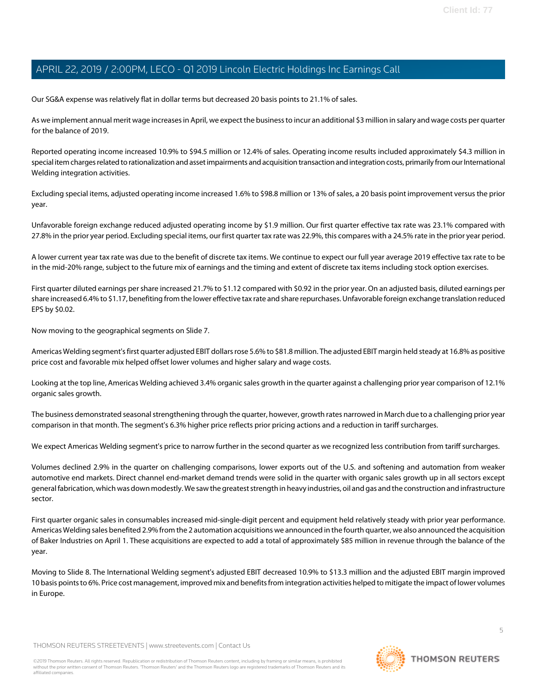Our SG&A expense was relatively flat in dollar terms but decreased 20 basis points to 21.1% of sales.

As we implement annual merit wage increases in April, we expect the business to incur an additional \$3 million in salary and wage costs per quarter for the balance of 2019.

Reported operating income increased 10.9% to \$94.5 million or 12.4% of sales. Operating income results included approximately \$4.3 million in special item charges related to rationalization and asset impairments and acquisition transaction and integration costs, primarily from our International Welding integration activities.

Excluding special items, adjusted operating income increased 1.6% to \$98.8 million or 13% of sales, a 20 basis point improvement versus the prior year.

Unfavorable foreign exchange reduced adjusted operating income by \$1.9 million. Our first quarter effective tax rate was 23.1% compared with 27.8% in the prior year period. Excluding special items, our first quarter tax rate was 22.9%, this compares with a 24.5% rate in the prior year period.

A lower current year tax rate was due to the benefit of discrete tax items. We continue to expect our full year average 2019 effective tax rate to be in the mid-20% range, subject to the future mix of earnings and the timing and extent of discrete tax items including stock option exercises.

First quarter diluted earnings per share increased 21.7% to \$1.12 compared with \$0.92 in the prior year. On an adjusted basis, diluted earnings per share increased 6.4% to \$1.17, benefiting from the lower effective tax rate and share repurchases. Unfavorable foreign exchange translation reduced EPS by \$0.02.

Now moving to the geographical segments on Slide 7.

Americas Welding segment's first quarter adjusted EBIT dollars rose 5.6% to \$81.8 million. The adjusted EBIT margin held steady at 16.8% as positive price cost and favorable mix helped offset lower volumes and higher salary and wage costs.

Looking at the top line, Americas Welding achieved 3.4% organic sales growth in the quarter against a challenging prior year comparison of 12.1% organic sales growth.

The business demonstrated seasonal strengthening through the quarter, however, growth rates narrowed in March due to a challenging prior year comparison in that month. The segment's 6.3% higher price reflects prior pricing actions and a reduction in tariff surcharges.

We expect Americas Welding segment's price to narrow further in the second quarter as we recognized less contribution from tariff surcharges.

Volumes declined 2.9% in the quarter on challenging comparisons, lower exports out of the U.S. and softening and automation from weaker automotive end markets. Direct channel end-market demand trends were solid in the quarter with organic sales growth up in all sectors except general fabrication, which was down modestly. We saw the greatest strength in heavy industries, oil and gas and the construction and infrastructure sector.

First quarter organic sales in consumables increased mid-single-digit percent and equipment held relatively steady with prior year performance. Americas Welding sales benefited 2.9% from the 2 automation acquisitions we announced in the fourth quarter, we also announced the acquisition of Baker Industries on April 1. These acquisitions are expected to add a total of approximately \$85 million in revenue through the balance of the year.

Moving to Slide 8. The International Welding segment's adjusted EBIT decreased 10.9% to \$13.3 million and the adjusted EBIT margin improved 10 basis points to 6%. Price cost management, improved mix and benefits from integration activities helped to mitigate the impact of lower volumes in Europe.

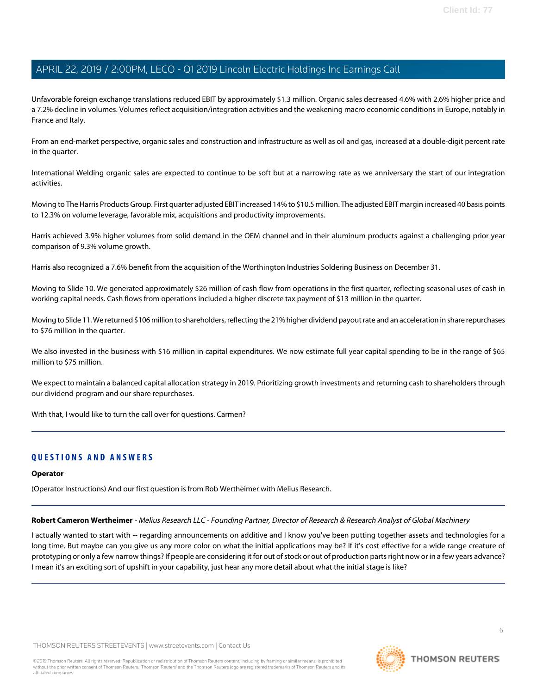Unfavorable foreign exchange translations reduced EBIT by approximately \$1.3 million. Organic sales decreased 4.6% with 2.6% higher price and a 7.2% decline in volumes. Volumes reflect acquisition/integration activities and the weakening macro economic conditions in Europe, notably in France and Italy.

From an end-market perspective, organic sales and construction and infrastructure as well as oil and gas, increased at a double-digit percent rate in the quarter.

International Welding organic sales are expected to continue to be soft but at a narrowing rate as we anniversary the start of our integration activities.

Moving to The Harris Products Group. First quarter adjusted EBIT increased 14% to \$10.5 million. The adjusted EBIT margin increased 40 basis points to 12.3% on volume leverage, favorable mix, acquisitions and productivity improvements.

Harris achieved 3.9% higher volumes from solid demand in the OEM channel and in their aluminum products against a challenging prior year comparison of 9.3% volume growth.

Harris also recognized a 7.6% benefit from the acquisition of the Worthington Industries Soldering Business on December 31.

Moving to Slide 10. We generated approximately \$26 million of cash flow from operations in the first quarter, reflecting seasonal uses of cash in working capital needs. Cash flows from operations included a higher discrete tax payment of \$13 million in the quarter.

Moving to Slide 11. We returned \$106 million to shareholders, reflecting the 21% higher dividend payout rate and an acceleration in share repurchases to \$76 million in the quarter.

We also invested in the business with \$16 million in capital expenditures. We now estimate full year capital spending to be in the range of \$65 million to \$75 million.

We expect to maintain a balanced capital allocation strategy in 2019. Prioritizing growth investments and returning cash to shareholders through our dividend program and our share repurchases.

With that, I would like to turn the call over for questions. Carmen?

### **QUESTIONS AND ANSWERS**

### <span id="page-5-0"></span>**Operator**

(Operator Instructions) And our first question is from Rob Wertheimer with Melius Research.

**Robert Cameron Wertheimer** - Melius Research LLC - Founding Partner, Director of Research & Research Analyst of Global Machinery

I actually wanted to start with -- regarding announcements on additive and I know you've been putting together assets and technologies for a long time. But maybe can you give us any more color on what the initial applications may be? If it's cost effective for a wide range creature of prototyping or only a few narrow things? If people are considering it for out of stock or out of production parts right now or in a few years advance? I mean it's an exciting sort of upshift in your capability, just hear any more detail about what the initial stage is like?

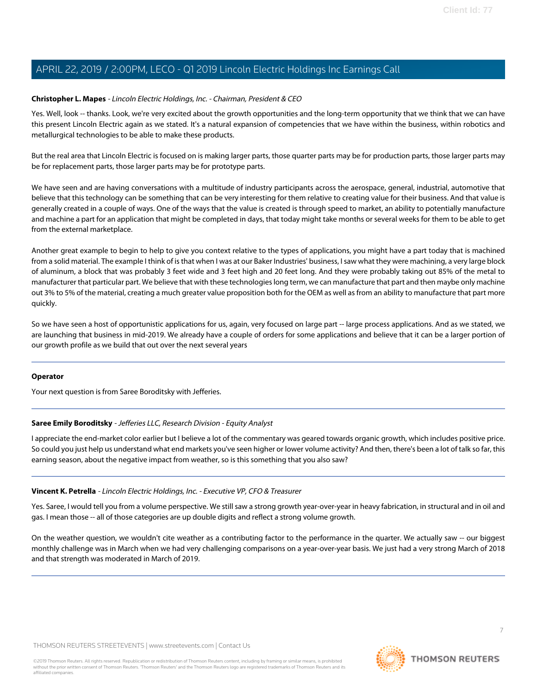### **Christopher L. Mapes** - Lincoln Electric Holdings, Inc. - Chairman, President & CEO

Yes. Well, look -- thanks. Look, we're very excited about the growth opportunities and the long-term opportunity that we think that we can have this present Lincoln Electric again as we stated. It's a natural expansion of competencies that we have within the business, within robotics and metallurgical technologies to be able to make these products.

But the real area that Lincoln Electric is focused on is making larger parts, those quarter parts may be for production parts, those larger parts may be for replacement parts, those larger parts may be for prototype parts.

We have seen and are having conversations with a multitude of industry participants across the aerospace, general, industrial, automotive that believe that this technology can be something that can be very interesting for them relative to creating value for their business. And that value is generally created in a couple of ways. One of the ways that the value is created is through speed to market, an ability to potentially manufacture and machine a part for an application that might be completed in days, that today might take months or several weeks for them to be able to get from the external marketplace.

Another great example to begin to help to give you context relative to the types of applications, you might have a part today that is machined from a solid material. The example I think of is that when I was at our Baker Industries' business, I saw what they were machining, a very large block of aluminum, a block that was probably 3 feet wide and 3 feet high and 20 feet long. And they were probably taking out 85% of the metal to manufacturer that particular part. We believe that with these technologies long term, we can manufacture that part and then maybe only machine out 3% to 5% of the material, creating a much greater value proposition both for the OEM as well as from an ability to manufacture that part more quickly.

So we have seen a host of opportunistic applications for us, again, very focused on large part -- large process applications. And as we stated, we are launching that business in mid-2019. We already have a couple of orders for some applications and believe that it can be a larger portion of our growth profile as we build that out over the next several years

### <span id="page-6-0"></span>**Operator**

Your next question is from Saree Boroditsky with Jefferies.

### **Saree Emily Boroditsky** - Jefferies LLC, Research Division - Equity Analyst

I appreciate the end-market color earlier but I believe a lot of the commentary was geared towards organic growth, which includes positive price. So could you just help us understand what end markets you've seen higher or lower volume activity? And then, there's been a lot of talk so far, this earning season, about the negative impact from weather, so is this something that you also saw?

### **Vincent K. Petrella** - Lincoln Electric Holdings, Inc. - Executive VP, CFO & Treasurer

Yes. Saree, I would tell you from a volume perspective. We still saw a strong growth year-over-year in heavy fabrication, in structural and in oil and gas. I mean those -- all of those categories are up double digits and reflect a strong volume growth.

On the weather question, we wouldn't cite weather as a contributing factor to the performance in the quarter. We actually saw -- our biggest monthly challenge was in March when we had very challenging comparisons on a year-over-year basis. We just had a very strong March of 2018 and that strength was moderated in March of 2019.

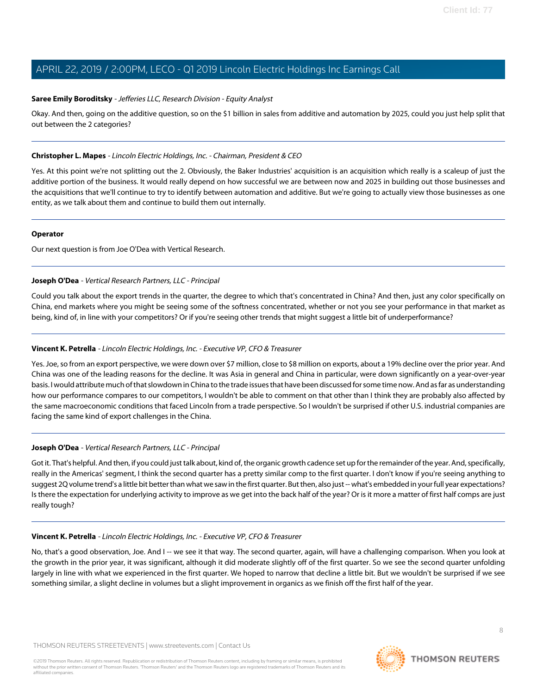### **Saree Emily Boroditsky** - Jefferies LLC, Research Division - Equity Analyst

Okay. And then, going on the additive question, so on the \$1 billion in sales from additive and automation by 2025, could you just help split that out between the 2 categories?

### **Christopher L. Mapes** - Lincoln Electric Holdings, Inc. - Chairman, President & CEO

Yes. At this point we're not splitting out the 2. Obviously, the Baker Industries' acquisition is an acquisition which really is a scaleup of just the additive portion of the business. It would really depend on how successful we are between now and 2025 in building out those businesses and the acquisitions that we'll continue to try to identify between automation and additive. But we're going to actually view those businesses as one entity, as we talk about them and continue to build them out internally.

### **Operator**

<span id="page-7-0"></span>Our next question is from Joe O'Dea with Vertical Research.

### **Joseph O'Dea** - Vertical Research Partners, LLC - Principal

Could you talk about the export trends in the quarter, the degree to which that's concentrated in China? And then, just any color specifically on China, end markets where you might be seeing some of the softness concentrated, whether or not you see your performance in that market as being, kind of, in line with your competitors? Or if you're seeing other trends that might suggest a little bit of underperformance?

### **Vincent K. Petrella** - Lincoln Electric Holdings, Inc. - Executive VP, CFO & Treasurer

Yes. Joe, so from an export perspective, we were down over \$7 million, close to \$8 million on exports, about a 19% decline over the prior year. And China was one of the leading reasons for the decline. It was Asia in general and China in particular, were down significantly on a year-over-year basis. I would attribute much of that slowdown in China to the trade issues that have been discussed for some time now. And as far as understanding how our performance compares to our competitors, I wouldn't be able to comment on that other than I think they are probably also affected by the same macroeconomic conditions that faced Lincoln from a trade perspective. So I wouldn't be surprised if other U.S. industrial companies are facing the same kind of export challenges in the China.

### **Joseph O'Dea** - Vertical Research Partners, LLC - Principal

Got it. That's helpful. And then, if you could just talk about, kind of, the organic growth cadence set up for the remainder of the year. And, specifically, really in the Americas' segment, I think the second quarter has a pretty similar comp to the first quarter. I don't know if you're seeing anything to suggest 2Q volume trend's a little bit better than what we saw in the first quarter. But then, also just -- what's embedded in your full year expectations? Is there the expectation for underlying activity to improve as we get into the back half of the year? Or is it more a matter of first half comps are just really tough?

### **Vincent K. Petrella** - Lincoln Electric Holdings, Inc. - Executive VP, CFO & Treasurer

No, that's a good observation, Joe. And I -- we see it that way. The second quarter, again, will have a challenging comparison. When you look at the growth in the prior year, it was significant, although it did moderate slightly off of the first quarter. So we see the second quarter unfolding largely in line with what we experienced in the first quarter. We hoped to narrow that decline a little bit. But we wouldn't be surprised if we see something similar, a slight decline in volumes but a slight improvement in organics as we finish off the first half of the year.

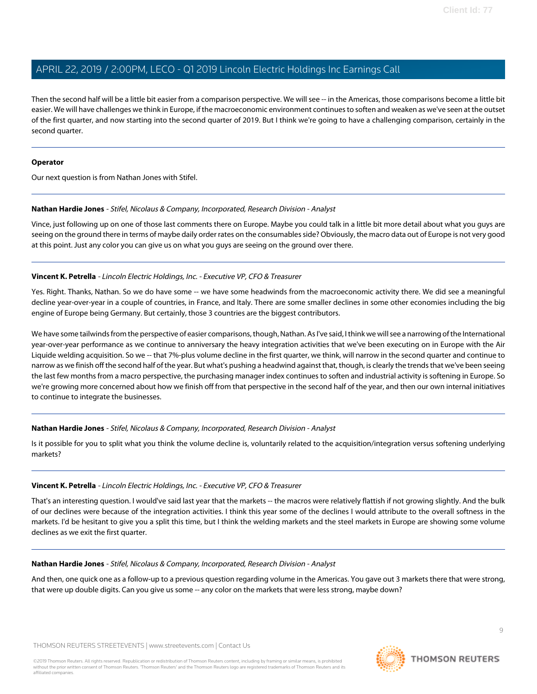Then the second half will be a little bit easier from a comparison perspective. We will see -- in the Americas, those comparisons become a little bit easier. We will have challenges we think in Europe, if the macroeconomic environment continues to soften and weaken as we've seen at the outset of the first quarter, and now starting into the second quarter of 2019. But I think we're going to have a challenging comparison, certainly in the second quarter.

### **Operator**

<span id="page-8-0"></span>Our next question is from Nathan Jones with Stifel.

### **Nathan Hardie Jones** - Stifel, Nicolaus & Company, Incorporated, Research Division - Analyst

Vince, just following up on one of those last comments there on Europe. Maybe you could talk in a little bit more detail about what you guys are seeing on the ground there in terms of maybe daily order rates on the consumables side? Obviously, the macro data out of Europe is not very good at this point. Just any color you can give us on what you guys are seeing on the ground over there.

### **Vincent K. Petrella** - Lincoln Electric Holdings, Inc. - Executive VP, CFO & Treasurer

Yes. Right. Thanks, Nathan. So we do have some -- we have some headwinds from the macroeconomic activity there. We did see a meaningful decline year-over-year in a couple of countries, in France, and Italy. There are some smaller declines in some other economies including the big engine of Europe being Germany. But certainly, those 3 countries are the biggest contributors.

We have some tailwinds from the perspective of easier comparisons, though, Nathan. As I've said, I think we will see a narrowing of the International year-over-year performance as we continue to anniversary the heavy integration activities that we've been executing on in Europe with the Air Liquide welding acquisition. So we -- that 7%-plus volume decline in the first quarter, we think, will narrow in the second quarter and continue to narrow as we finish off the second half of the year. But what's pushing a headwind against that, though, is clearly the trends that we've been seeing the last few months from a macro perspective, the purchasing manager index continues to soften and industrial activity is softening in Europe. So we're growing more concerned about how we finish off from that perspective in the second half of the year, and then our own internal initiatives to continue to integrate the businesses.

### **Nathan Hardie Jones** - Stifel, Nicolaus & Company, Incorporated, Research Division - Analyst

Is it possible for you to split what you think the volume decline is, voluntarily related to the acquisition/integration versus softening underlying markets?

### **Vincent K. Petrella** - Lincoln Electric Holdings, Inc. - Executive VP, CFO & Treasurer

That's an interesting question. I would've said last year that the markets -- the macros were relatively flattish if not growing slightly. And the bulk of our declines were because of the integration activities. I think this year some of the declines I would attribute to the overall softness in the markets. I'd be hesitant to give you a split this time, but I think the welding markets and the steel markets in Europe are showing some volume declines as we exit the first quarter.

### **Nathan Hardie Jones** - Stifel, Nicolaus & Company, Incorporated, Research Division - Analyst

And then, one quick one as a follow-up to a previous question regarding volume in the Americas. You gave out 3 markets there that were strong, that were up double digits. Can you give us some -- any color on the markets that were less strong, maybe down?

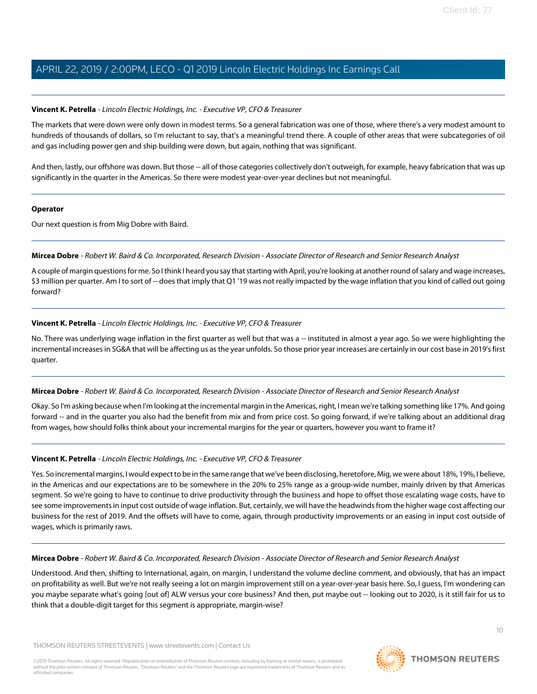### **Vincent K. Petrella** - Lincoln Electric Holdings, Inc. - Executive VP, CFO & Treasurer

The markets that were down were only down in modest terms. So a general fabrication was one of those, where there's a very modest amount to hundreds of thousands of dollars, so I'm reluctant to say, that's a meaningful trend there. A couple of other areas that were subcategories of oil and gas including power gen and ship building were down, but again, nothing that was significant.

And then, lastly, our offshore was down. But those -- all of those categories collectively don't outweigh, for example, heavy fabrication that was up significantly in the quarter in the Americas. So there were modest year-over-year declines but not meaningful.

### **Operator**

<span id="page-9-0"></span>Our next question is from Mig Dobre with Baird.

### **Mircea Dobre** - Robert W. Baird & Co. Incorporated, Research Division - Associate Director of Research and Senior Research Analyst

A couple of margin questions for me. So I think I heard you say that starting with April, you're looking at another round of salary and wage increases, \$3 million per quarter. Am I to sort of -- does that imply that Q1 '19 was not really impacted by the wage inflation that you kind of called out going forward?

### **Vincent K. Petrella** - Lincoln Electric Holdings, Inc. - Executive VP, CFO & Treasurer

No. There was underlying wage inflation in the first quarter as well but that was a -- instituted in almost a year ago. So we were highlighting the incremental increases in SG&A that will be affecting us as the year unfolds. So those prior year increases are certainly in our cost base in 2019's first quarter.

### **Mircea Dobre** - Robert W. Baird & Co. Incorporated, Research Division - Associate Director of Research and Senior Research Analyst

Okay. So I'm asking because when I'm looking at the incremental margin in the Americas, right, I mean we're talking something like 17%. And going forward -- and in the quarter you also had the benefit from mix and from price cost. So going forward, if we're talking about an additional drag from wages, how should folks think about your incremental margins for the year or quarters, however you want to frame it?

### **Vincent K. Petrella** - Lincoln Electric Holdings, Inc. - Executive VP, CFO & Treasurer

Yes. So incremental margins, I would expect to be in the same range that we've been disclosing, heretofore, Mig, we were about 18%, 19%, I believe, in the Americas and our expectations are to be somewhere in the 20% to 25% range as a group-wide number, mainly driven by that Americas segment. So we're going to have to continue to drive productivity through the business and hope to offset those escalating wage costs, have to see some improvements in input cost outside of wage inflation. But, certainly, we will have the headwinds from the higher wage cost affecting our business for the rest of 2019. And the offsets will have to come, again, through productivity improvements or an easing in input cost outside of wages, which is primarily raws.

### **Mircea Dobre** - Robert W. Baird & Co. Incorporated, Research Division - Associate Director of Research and Senior Research Analyst

Understood. And then, shifting to International, again, on margin, I understand the volume decline comment, and obviously, that has an impact on profitability as well. But we're not really seeing a lot on margin improvement still on a year-over-year basis here. So, I guess, I'm wondering can you maybe separate what's going [out of] ALW versus your core business? And then, put maybe out -- looking out to 2020, is it still fair for us to think that a double-digit target for this segment is appropriate, margin-wise?

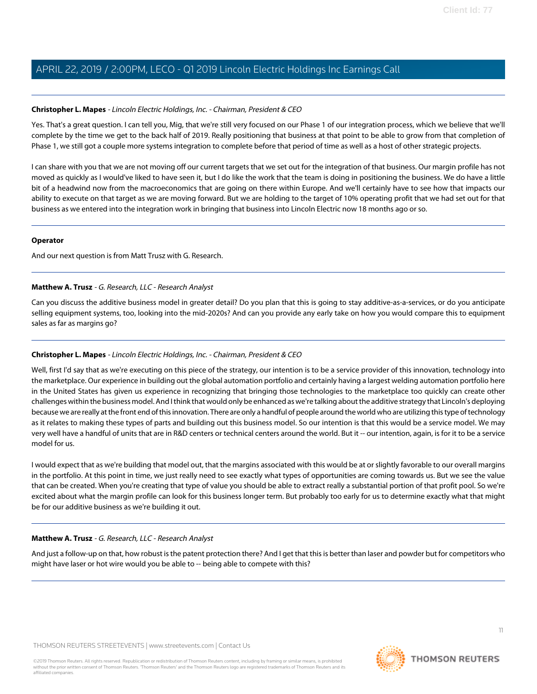### **Christopher L. Mapes** - Lincoln Electric Holdings, Inc. - Chairman, President & CEO

Yes. That's a great question. I can tell you, Mig, that we're still very focused on our Phase 1 of our integration process, which we believe that we'll complete by the time we get to the back half of 2019. Really positioning that business at that point to be able to grow from that completion of Phase 1, we still got a couple more systems integration to complete before that period of time as well as a host of other strategic projects.

I can share with you that we are not moving off our current targets that we set out for the integration of that business. Our margin profile has not moved as quickly as I would've liked to have seen it, but I do like the work that the team is doing in positioning the business. We do have a little bit of a headwind now from the macroeconomics that are going on there within Europe. And we'll certainly have to see how that impacts our ability to execute on that target as we are moving forward. But we are holding to the target of 10% operating profit that we had set out for that business as we entered into the integration work in bringing that business into Lincoln Electric now 18 months ago or so.

### **Operator**

<span id="page-10-0"></span>And our next question is from Matt Trusz with G. Research.

### **Matthew A. Trusz** - G. Research, LLC - Research Analyst

Can you discuss the additive business model in greater detail? Do you plan that this is going to stay additive-as-a-services, or do you anticipate selling equipment systems, too, looking into the mid-2020s? And can you provide any early take on how you would compare this to equipment sales as far as margins go?

### **Christopher L. Mapes** - Lincoln Electric Holdings, Inc. - Chairman, President & CEO

Well, first I'd say that as we're executing on this piece of the strategy, our intention is to be a service provider of this innovation, technology into the marketplace. Our experience in building out the global automation portfolio and certainly having a largest welding automation portfolio here in the United States has given us experience in recognizing that bringing those technologies to the marketplace too quickly can create other challenges within the business model. And I think that would only be enhanced as we're talking about the additive strategy that Lincoln's deploying because we are really at the front end of this innovation. There are only a handful of people around the world who are utilizing this type of technology as it relates to making these types of parts and building out this business model. So our intention is that this would be a service model. We may very well have a handful of units that are in R&D centers or technical centers around the world. But it -- our intention, again, is for it to be a service model for us.

I would expect that as we're building that model out, that the margins associated with this would be at or slightly favorable to our overall margins in the portfolio. At this point in time, we just really need to see exactly what types of opportunities are coming towards us. But we see the value that can be created. When you're creating that type of value you should be able to extract really a substantial portion of that profit pool. So we're excited about what the margin profile can look for this business longer term. But probably too early for us to determine exactly what that might be for our additive business as we're building it out.

### **Matthew A. Trusz** - G. Research, LLC - Research Analyst

And just a follow-up on that, how robust is the patent protection there? And I get that this is better than laser and powder but for competitors who might have laser or hot wire would you be able to -- being able to compete with this?

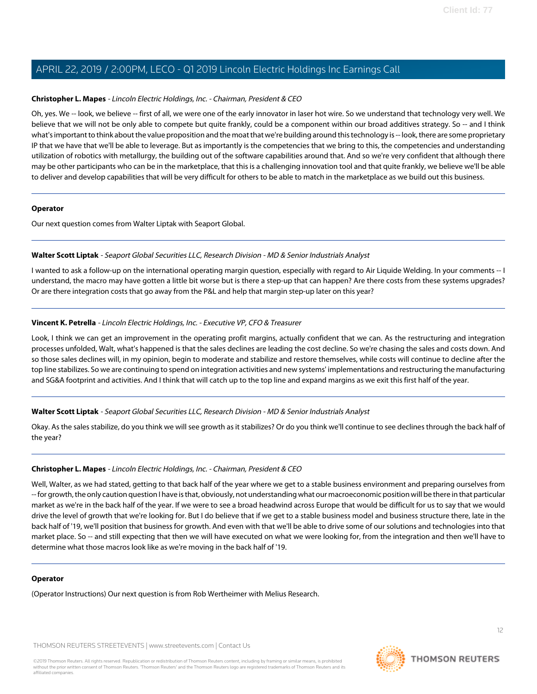### **Christopher L. Mapes** - Lincoln Electric Holdings, Inc. - Chairman, President & CEO

Oh, yes. We -- look, we believe -- first of all, we were one of the early innovator in laser hot wire. So we understand that technology very well. We believe that we will not be only able to compete but quite frankly, could be a component within our broad additives strategy. So -- and I think what's important to think about the value proposition and the moat that we're building around this technology is -- look, there are some proprietary IP that we have that we'll be able to leverage. But as importantly is the competencies that we bring to this, the competencies and understanding utilization of robotics with metallurgy, the building out of the software capabilities around that. And so we're very confident that although there may be other participants who can be in the marketplace, that this is a challenging innovation tool and that quite frankly, we believe we'll be able to deliver and develop capabilities that will be very difficult for others to be able to match in the marketplace as we build out this business.

### **Operator**

<span id="page-11-0"></span>Our next question comes from Walter Liptak with Seaport Global.

### **Walter Scott Liptak** - Seaport Global Securities LLC, Research Division - MD & Senior Industrials Analyst

I wanted to ask a follow-up on the international operating margin question, especially with regard to Air Liquide Welding. In your comments -- I understand, the macro may have gotten a little bit worse but is there a step-up that can happen? Are there costs from these systems upgrades? Or are there integration costs that go away from the P&L and help that margin step-up later on this year?

### **Vincent K. Petrella** - Lincoln Electric Holdings, Inc. - Executive VP, CFO & Treasurer

Look, I think we can get an improvement in the operating profit margins, actually confident that we can. As the restructuring and integration processes unfolded, Walt, what's happened is that the sales declines are leading the cost decline. So we're chasing the sales and costs down. And so those sales declines will, in my opinion, begin to moderate and stabilize and restore themselves, while costs will continue to decline after the top line stabilizes. So we are continuing to spend on integration activities and new systems' implementations and restructuring the manufacturing and SG&A footprint and activities. And I think that will catch up to the top line and expand margins as we exit this first half of the year.

### **Walter Scott Liptak** - Seaport Global Securities LLC, Research Division - MD & Senior Industrials Analyst

Okay. As the sales stabilize, do you think we will see growth as it stabilizes? Or do you think we'll continue to see declines through the back half of the year?

### **Christopher L. Mapes** - Lincoln Electric Holdings, Inc. - Chairman, President & CEO

Well, Walter, as we had stated, getting to that back half of the year where we get to a stable business environment and preparing ourselves from -- for growth, the only caution question I have is that, obviously, not understanding what our macroeconomic position will be there in that particular market as we're in the back half of the year. If we were to see a broad headwind across Europe that would be difficult for us to say that we would drive the level of growth that we're looking for. But I do believe that if we get to a stable business model and business structure there, late in the back half of '19, we'll position that business for growth. And even with that we'll be able to drive some of our solutions and technologies into that market place. So -- and still expecting that then we will have executed on what we were looking for, from the integration and then we'll have to determine what those macros look like as we're moving in the back half of '19.

#### **Operator**

(Operator Instructions) Our next question is from Rob Wertheimer with Melius Research.

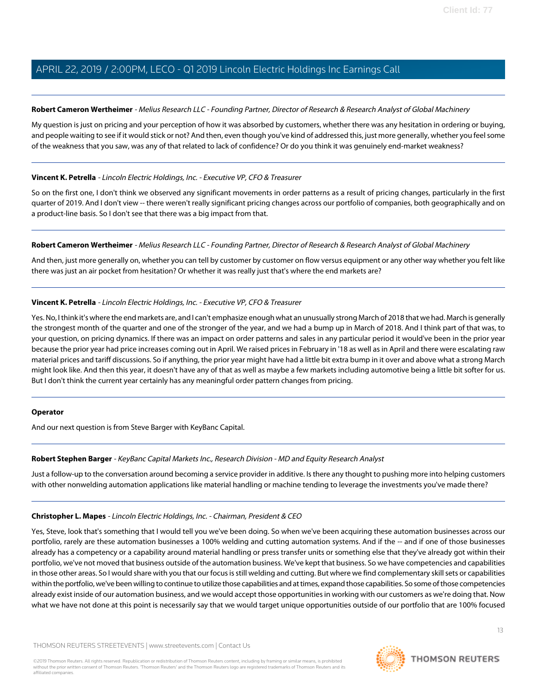### **Robert Cameron Wertheimer** - Melius Research LLC - Founding Partner, Director of Research & Research Analyst of Global Machinery

My question is just on pricing and your perception of how it was absorbed by customers, whether there was any hesitation in ordering or buying, and people waiting to see if it would stick or not? And then, even though you've kind of addressed this, just more generally, whether you feel some of the weakness that you saw, was any of that related to lack of confidence? Or do you think it was genuinely end-market weakness?

### **Vincent K. Petrella** - Lincoln Electric Holdings, Inc. - Executive VP, CFO & Treasurer

So on the first one, I don't think we observed any significant movements in order patterns as a result of pricing changes, particularly in the first quarter of 2019. And I don't view -- there weren't really significant pricing changes across our portfolio of companies, both geographically and on a product-line basis. So I don't see that there was a big impact from that.

### **Robert Cameron Wertheimer** - Melius Research LLC - Founding Partner, Director of Research & Research Analyst of Global Machinery

And then, just more generally on, whether you can tell by customer by customer on flow versus equipment or any other way whether you felt like there was just an air pocket from hesitation? Or whether it was really just that's where the end markets are?

### **Vincent K. Petrella** - Lincoln Electric Holdings, Inc. - Executive VP, CFO & Treasurer

Yes. No, I think it's where the end markets are, and I can't emphasize enough what an unusually strong March of 2018 that we had. March is generally the strongest month of the quarter and one of the stronger of the year, and we had a bump up in March of 2018. And I think part of that was, to your question, on pricing dynamics. If there was an impact on order patterns and sales in any particular period it would've been in the prior year because the prior year had price increases coming out in April. We raised prices in February in '18 as well as in April and there were escalating raw material prices and tariff discussions. So if anything, the prior year might have had a little bit extra bump in it over and above what a strong March might look like. And then this year, it doesn't have any of that as well as maybe a few markets including automotive being a little bit softer for us. But I don't think the current year certainly has any meaningful order pattern changes from pricing.

### <span id="page-12-0"></span>**Operator**

And our next question is from Steve Barger with KeyBanc Capital.

### **Robert Stephen Barger** - KeyBanc Capital Markets Inc., Research Division - MD and Equity Research Analyst

Just a follow-up to the conversation around becoming a service provider in additive. Is there any thought to pushing more into helping customers with other nonwelding automation applications like material handling or machine tending to leverage the investments you've made there?

### **Christopher L. Mapes** - Lincoln Electric Holdings, Inc. - Chairman, President & CEO

Yes, Steve, look that's something that I would tell you we've been doing. So when we've been acquiring these automation businesses across our portfolio, rarely are these automation businesses a 100% welding and cutting automation systems. And if the -- and if one of those businesses already has a competency or a capability around material handling or press transfer units or something else that they've already got within their portfolio, we've not moved that business outside of the automation business. We've kept that business. So we have competencies and capabilities in those other areas. So I would share with you that our focus is still welding and cutting. But where we find complementary skill sets or capabilities within the portfolio, we've been willing to continue to utilize those capabilities and at times, expand those capabilities. So some of those competencies already exist inside of our automation business, and we would accept those opportunities in working with our customers as we're doing that. Now what we have not done at this point is necessarily say that we would target unique opportunities outside of our portfolio that are 100% focused

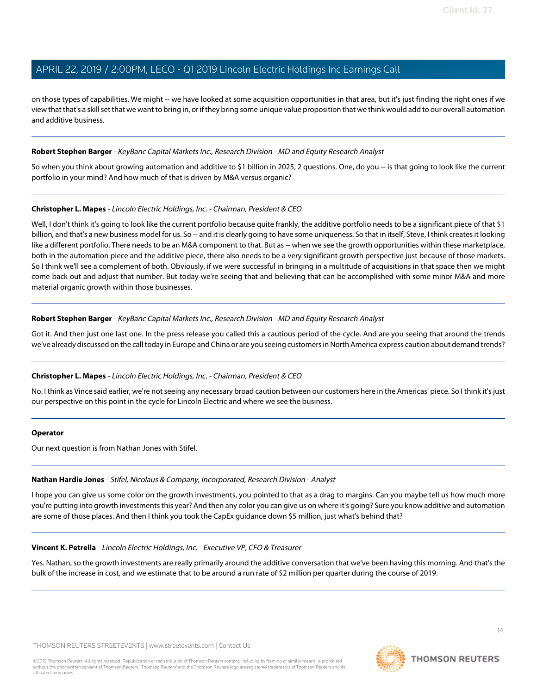on those types of capabilities. We might -- we have looked at some acquisition opportunities in that area, but it's just finding the right ones if we view that that's a skill set that we want to bring in, or if they bring some unique value proposition that we think would add to our overall automation and additive business.

### **Robert Stephen Barger** - KeyBanc Capital Markets Inc., Research Division - MD and Equity Research Analyst

So when you think about growing automation and additive to \$1 billion in 2025, 2 questions. One, do you -- is that going to look like the current portfolio in your mind? And how much of that is driven by M&A versus organic?

### **Christopher L. Mapes** - Lincoln Electric Holdings, Inc. - Chairman, President & CEO

Well, I don't think it's going to look like the current portfolio because quite frankly, the additive portfolio needs to be a significant piece of that \$1 billion, and that's a new business model for us. So -- and it is clearly going to have some uniqueness. So that in itself, Steve, I think creates it looking like a different portfolio. There needs to be an M&A component to that. But as -- when we see the growth opportunities within these marketplace, both in the automation piece and the additive piece, there also needs to be a very significant growth perspective just because of those markets. So I think we'll see a complement of both. Obviously, if we were successful in bringing in a multitude of acquisitions in that space then we might come back out and adjust that number. But today we're seeing that and believing that can be accomplished with some minor M&A and more material organic growth within those businesses.

### **Robert Stephen Barger** - KeyBanc Capital Markets Inc., Research Division - MD and Equity Research Analyst

Got it. And then just one last one. In the press release you called this a cautious period of the cycle. And are you seeing that around the trends we've already discussed on the call today in Europe and China or are you seeing customers in North America express caution about demand trends?

### **Christopher L. Mapes** - Lincoln Electric Holdings, Inc. - Chairman, President & CEO

No. I think as Vince said earlier, we're not seeing any necessary broad caution between our customers here in the Americas' piece. So I think it's just our perspective on this point in the cycle for Lincoln Electric and where we see the business.

### **Operator**

Our next question is from Nathan Jones with Stifel.

### **Nathan Hardie Jones** - Stifel, Nicolaus & Company, Incorporated, Research Division - Analyst

I hope you can give us some color on the growth investments, you pointed to that as a drag to margins. Can you maybe tell us how much more you're putting into growth investments this year? And then any color you can give us on where it's going? Sure you know additive and automation are some of those places. And then I think you took the CapEx guidance down \$5 million, just what's behind that?

### **Vincent K. Petrella** - Lincoln Electric Holdings, Inc. - Executive VP, CFO & Treasurer

Yes. Nathan, so the growth investments are really primarily around the additive conversation that we've been having this morning. And that's the bulk of the increase in cost, and we estimate that to be around a run rate of \$2 million per quarter during the course of 2019.